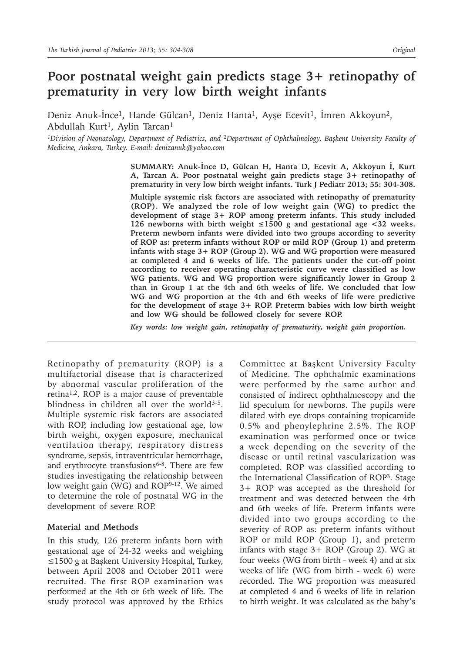# **Poor postnatal weight gain predicts stage 3+ retinopathy of prematurity in very low birth weight infants**

Deniz Anuk-Ince<sup>1</sup>, Hande Gülcan<sup>1</sup>, Deniz Hanta<sup>1</sup>, Ayşe Ecevit<sup>1</sup>, İmren Akkoyun<sup>2</sup>, Abdullah Kurt<sup>1</sup>, Aylin Tarcan<sup>1</sup>

*<sup>1</sup>Division of Neonatology, Department of Pediatrics, and <sup>2</sup>Department of Ophthalmology, Başkent University Faculty of Medicine, Ankara, Turkey. E-mail: denizanuk@yahoo.com*

> **SUMMARY: Anuk-İnce D, Gülcan H, Hanta D, Ecevit A, Akkoyun İ, Kurt A, Tarcan A. Poor postnatal weight gain predicts stage 3+ retinopathy of prematurity in very low birth weight infants. Turk J Pediatr 2013; 55: 304-308.**

> **Multiple systemic risk factors are associated with retinopathy of prematurity (ROP). We analyzed the role of low weight gain (WG) to predict the development of stage 3+ ROP among preterm infants. This study included 126 newborns with birth weight ≤1500 g and gestational age <32 weeks. Preterm newborn infants were divided into two groups according to severity of ROP as: preterm infants without ROP or mild ROP (Group 1) and preterm infants with stage 3+ ROP (Group 2). WG and WG proportion were measured at completed 4 and 6 weeks of life. The patients under the cut-off point according to receiver operating characteristic curve were classified as low WG patients. WG and WG proportion were significantly lower in Group 2 than in Group 1 at the 4th and 6th weeks of life. We concluded that low WG and WG proportion at the 4th and 6th weeks of life were predictive for the development of stage 3+ ROP. Preterm babies with low birth weight and low WG should be followed closely for severe ROP.**

*Key words: low weight gain, retinopathy of prematurity, weight gain proportion.*

Retinopathy of prematurity (ROP) is a multifactorial disease that is characterized by abnormal vascular proliferation of the retina<sup>1,2</sup>. ROP is a major cause of preventable blindness in children all over the world<sup>3-5</sup>. Multiple systemic risk factors are associated with ROP, including low gestational age, low birth weight, oxygen exposure, mechanical ventilation therapy, respiratory distress syndrome, sepsis, intraventricular hemorrhage, and erythrocyte transfusions $6-8$ . There are few studies investigating the relationship between low weight gain (WG) and ROP<sup>9-12</sup>. We aimed to determine the role of postnatal WG in the development of severe ROP.

### **Material and Methods**

In this study, 126 preterm infants born with gestational age of 24-32 weeks and weighing ≤1500 g at Başkent University Hospital, Turkey, between April 2008 and October 2011 were recruited. The first ROP examination was performed at the 4th or 6th week of life. The study protocol was approved by the Ethics Committee at Başkent University Faculty of Medicine. The ophthalmic examinations were performed by the same author and consisted of indirect ophthalmoscopy and the lid speculum for newborns. The pupils were dilated with eye drops containing tropicamide 0.5% and phenylephrine 2.5%. The ROP examination was performed once or twice a week depending on the severity of the disease or until retinal vascularization was completed. ROP was classified according to the International Classification of ROP<sup>3</sup>. Stage 3+ ROP was accepted as the threshold for treatment and was detected between the 4th and 6th weeks of life. Preterm infants were divided into two groups according to the severity of ROP as: preterm infants without ROP or mild ROP (Group 1), and preterm infants with stage 3+ ROP (Group 2). WG at four weeks (WG from birth - week 4) and at six weeks of life (WG from birth - week 6) were recorded. The WG proportion was measured at completed 4 and 6 weeks of life in relation to birth weight. It was calculated as the baby's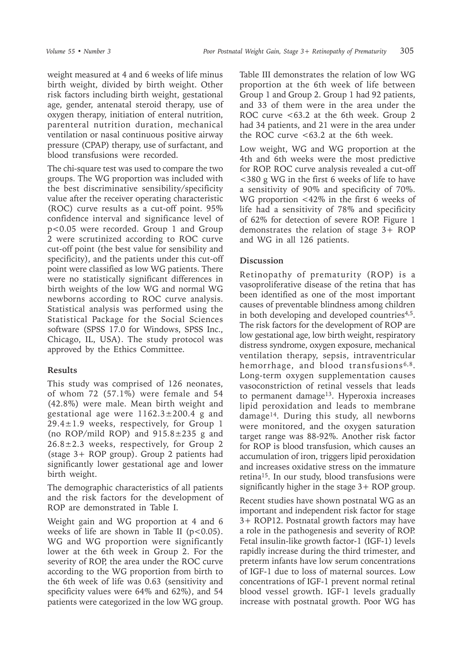weight measured at 4 and 6 weeks of life minus birth weight, divided by birth weight. Other risk factors including birth weight, gestational age, gender, antenatal steroid therapy, use of oxygen therapy, initiation of enteral nutrition, parenteral nutrition duration, mechanical ventilation or nasal continuous positive airway pressure (CPAP) therapy, use of surfactant, and blood transfusions were recorded.

The chi-square test was used to compare the two groups. The WG proportion was included with the best discriminative sensibility/specificity value after the receiver operating characteristic (ROC) curve results as a cut-off point. 95% confidence interval and significance level of p<0.05 were recorded. Group 1 and Group 2 were scrutinized according to ROC curve cut-off point (the best value for sensibility and specificity), and the patients under this cut-off point were classified as low WG patients. There were no statistically significant differences in birth weights of the low WG and normal WG newborns according to ROC curve analysis. Statistical analysis was performed using the Statistical Package for the Social Sciences software (SPSS 17.0 for Windows, SPSS Inc., Chicago, IL, USA). The study protocol was approved by the Ethics Committee.

### **Results**

This study was comprised of 126 neonates, of whom 72 (57.1%) were female and 54 (42.8%) were male. Mean birth weight and gestational age were  $1162.3 \pm 200.4$  g and  $29.4 \pm 1.9$  weeks, respectively, for Group 1 (no ROP/mild ROP) and  $915.8 \pm 235$  g and 26.8±2.3 weeks, respectively, for Group 2 (stage 3+ ROP group). Group 2 patients had significantly lower gestational age and lower birth weight.

The demographic characteristics of all patients and the risk factors for the development of ROP are demonstrated in Table I.

Weight gain and WG proportion at 4 and 6 weeks of life are shown in Table II ( $p < 0.05$ ). WG and WG proportion were significantly lower at the 6th week in Group 2. For the severity of ROP, the area under the ROC curve according to the WG proportion from birth to the 6th week of life was 0.63 (sensitivity and specificity values were 64% and 62%), and 54 patients were categorized in the low WG group.

Table III demonstrates the relation of low WG proportion at the 6th week of life between Group 1 and Group 2. Group 1 had 92 patients, and 33 of them were in the area under the ROC curve <63.2 at the 6th week. Group 2 had 34 patients, and 21 were in the area under the ROC curve  $<63.2$  at the 6th week.

Low weight, WG and WG proportion at the 4th and 6th weeks were the most predictive for ROP. ROC curve analysis revealed a cut-off <380 g WG in the first 6 weeks of life to have a sensitivity of 90% and specificity of 70%. WG proportion <42% in the first 6 weeks of life had a sensitivity of 78% and specificity of 62% for detection of severe ROP. Figure 1 demonstrates the relation of stage 3+ ROP and WG in all 126 patients.

## **Discussion**

Retinopathy of prematurity (ROP) is a vasoproliferative disease of the retina that has been identified as one of the most important causes of preventable blindness among children in both developing and developed countries<sup>4,5</sup>. The risk factors for the development of ROP are low gestational age, low birth weight, respiratory distress syndrome, oxygen exposure, mechanical ventilation therapy, sepsis, intraventricular hemorrhage, and blood transfusions<sup>6,8</sup>. Long-term oxygen supplementation causes vasoconstriction of retinal vessels that leads to permanent damage<sup>13</sup>. Hyperoxia increases lipid peroxidation and leads to membrane damage14. During this study, all newborns were monitored, and the oxygen saturation target range was 88-92%. Another risk factor for ROP is blood transfusion, which causes an accumulation of iron, triggers lipid peroxidation and increases oxidative stress on the immature retina15. In our study, blood transfusions were significantly higher in the stage 3+ ROP group.

Recent studies have shown postnatal WG as an important and independent risk factor for stage 3+ ROP12. Postnatal growth factors may have a role in the pathogenesis and severity of ROP. Fetal insulin-like growth factor-1 (IGF-1) levels rapidly increase during the third trimester, and preterm infants have low serum concentrations of IGF-1 due to loss of maternal sources. Low concentrations of IGF-1 prevent normal retinal blood vessel growth. IGF-1 levels gradually increase with postnatal growth. Poor WG has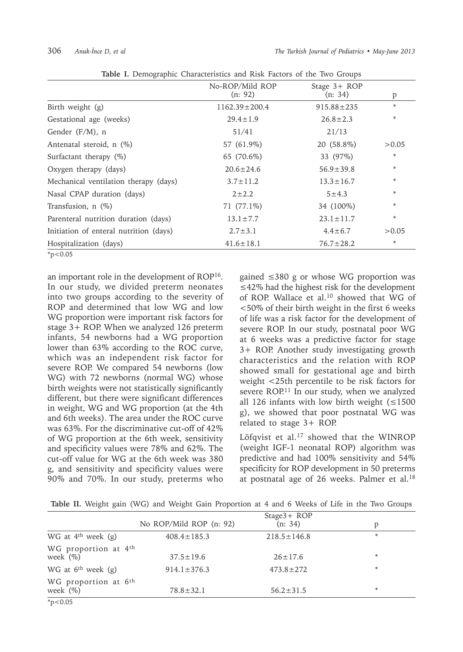|                                        | No-ROP/Mild ROP<br>(n: 92) | Stage $3+$ ROP<br>(n: 34) | p      |
|----------------------------------------|----------------------------|---------------------------|--------|
| Birth weight (g)                       | $1162.39 \pm 200.4$        | $915.88 \pm 235$          | *      |
| Gestational age (weeks)                | $29.4 \pm 1.9$             | $26.8 \pm 2.3$            | *      |
| Gender $(F/M)$ , n                     | 51/41                      | 21/13                     |        |
| Antenatal steroid, n (%)               | 57 (61.9%)                 | 20 (58.8%)                | >0.05  |
| Surfactant therapy $(\%)$              | 65 (70.6%)                 | 33 (97%)                  | $\ast$ |
| Oxygen therapy (days)                  | $20.6 \pm 24.6$            | $56.9 \pm 39.8$           | *      |
| Mechanical ventilation therapy (days)  | $3.7 \pm 11.2$             | $13.3 \pm 16.7$           | *      |
| Nasal CPAP duration (days)             | $2 + 2.2$                  | $5 + 4.3$                 | *      |
| Transfusion, $n$ $(\%)$                | 71 (77.1%)                 | 34 (100%)                 | *      |
| Parenteral nutrition duration (days)   | $13.1 \pm 7.7$             | $23.1 \pm 11.7$           | *      |
| Initiation of enteral nutrition (days) | $2.7 \pm 3.1$              | $4.4 \pm 6.7$             | >0.05  |
| Hospitalization (days)                 | $41.6 \pm 18.1$            | $76.7 \pm 28.2$           | *      |
|                                        |                            |                           |        |

**Table I.** Demographic Characteristics and Risk Factors of the Two Groups

 $*p<0.05$ 

an important role in the development of ROP<sup>16</sup>. In our study, we divided preterm neonates into two groups according to the severity of ROP and determined that low WG and low WG proportion were important risk factors for stage 3+ ROP. When we analyzed 126 preterm infants, 54 newborns had a WG proportion lower than 63% according to the ROC curve, which was an independent risk factor for severe ROP. We compared 54 newborns (low WG) with 72 newborns (normal WG) whose birth weights were not statistically significantly different, but there were significant differences in weight, WG and WG proportion (at the 4th and 6th weeks). The area under the ROC curve was 63%. For the discriminative cut-off of 42% of WG proportion at the 6th week, sensitivity and specificity values were 78% and 62%. The cut-off value for WG at the 6th week was 380 g, and sensitivity and specificity values were 90% and 70%. In our study, preterms who

gained ≤380 g or whose WG proportion was ≤42% had the highest risk for the development of ROP. Wallace et al.10 showed that WG of <50% of their birth weight in the first 6 weeks of life was a risk factor for the development of severe ROP. In our study, postnatal poor WG at 6 weeks was a predictive factor for stage 3+ ROP. Another study investigating growth characteristics and the relation with ROP showed small for gestational age and birth weight <25th percentile to be risk factors for severe ROP.<sup>11</sup> In our study, when we analyzed all 126 infants with low birth weight  $( \leq 1500$ g), we showed that poor postnatal WG was related to stage 3+ ROP.

Löfqvist et al.<sup>17</sup> showed that the WINROP (weight IGF-1 neonatal ROP) algorithm was predictive and had 100% sensitivity and 54% specificity for ROP development in 50 preterms at postnatal age of 26 weeks. Palmer et al.<sup>18</sup>

|  |  |  | Table II. Weight gain (WG) and Weight Gain Proportion at 4 and 6 Weeks of Life in the Two Groups |  |  |  |  |  |  |
|--|--|--|--------------------------------------------------------------------------------------------------|--|--|--|--|--|--|
|  |  |  |                                                                                                  |  |  |  |  |  |  |

|                                                  |                         | $Stage3 + ROP$    |   |
|--------------------------------------------------|-------------------------|-------------------|---|
|                                                  | No ROP/Mild ROP (n: 92) | (n: 34)           | p |
| WG at $4th$ week (g)                             | $408.4 \pm 185.3$       | $218.5 \pm 146.8$ | * |
| WG proportion at 4th<br>week $(\%)$              | $37.5 \pm 19.6$         | $26 \pm 17.6$     | * |
| WG at $6th$ week (g)                             | $914.1 \pm 376.3$       | $473.8 \pm 272$   | * |
| WG proportion at 6 <sup>th</sup><br>week $(\% )$ | $78.8 \pm 32.1$         | $56.2 \pm 31.5$   | * |
| $*p<0.05$                                        |                         |                   |   |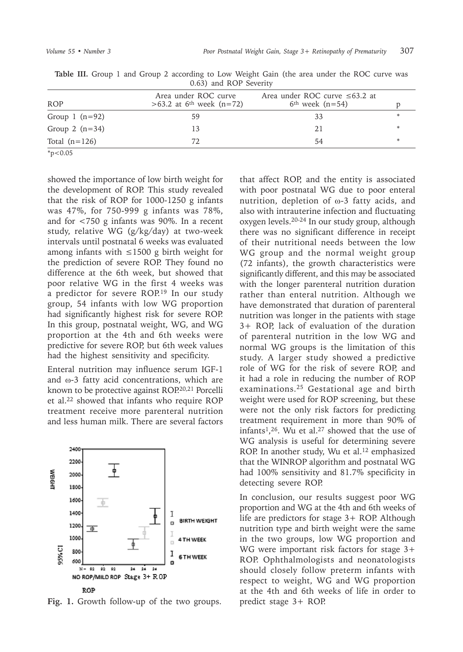|                  | $0.037$ and $1.01$ beventy                                   |                                                            |   |
|------------------|--------------------------------------------------------------|------------------------------------------------------------|---|
| <b>ROP</b>       | Area under ROC curve<br>>63.2 at 6 <sup>th</sup> week (n=72) | Area under ROC curve $\leq 63.2$ at<br>$6th$ week $(n=54)$ |   |
| Group 1 $(n=92)$ | 59                                                           | 33                                                         | * |
| Group 2 $(n=34)$ | 13                                                           | 21                                                         | * |
| Total $(n=126)$  | 72                                                           | 54                                                         | * |
| $*p<0.05$        |                                                              |                                                            |   |

Table III. Group 1 and Group 2 according to Low Weight Gain (the area under the ROC curve was 0.63) and ROP Severity

showed the importance of low birth weight for the development of ROP. This study revealed that the risk of ROP for 1000-1250 g infants was 47%, for 750-999 g infants was 78%, and for <750 g infants was 90%. In a recent study, relative WG (g/kg/day) at two-week intervals until postnatal 6 weeks was evaluated among infants with ≤1500 g birth weight for the prediction of severe ROP. They found no difference at the 6th week, but showed that poor relative WG in the first 4 weeks was a predictor for severe ROP.<sup>19</sup> In our study group, 54 infants with low WG proportion had significantly highest risk for severe ROP. In this group, postnatal weight, WG, and WG proportion at the 4th and 6th weeks were predictive for severe ROP, but 6th week values had the highest sensitivity and specificity.

Enteral nutrition may influence serum IGF-1 and ω-3 fatty acid concentrations, which are known to be protective against ROP.<sup>20,21</sup> Porcelli et al.22 showed that infants who require ROP treatment receive more parenteral nutrition and less human milk. There are several factors



**Fig. 1.** Growth follow-up of the two groups.

that affect ROP, and the entity is associated with poor postnatal WG due to poor enteral nutrition, depletion of ω-3 fatty acids, and also with intrauterine infection and fluctuating oxygen levels.20-24 In our study group, although there was no significant difference in receipt of their nutritional needs between the low WG group and the normal weight group (72 infants), the growth characteristics were significantly different, and this may be associated with the longer parenteral nutrition duration rather than enteral nutrition. Although we have demonstrated that duration of parenteral nutrition was longer in the patients with stage 3+ ROP, lack of evaluation of the duration of parenteral nutrition in the low WG and normal WG groups is the limitation of this study. A larger study showed a predictive role of WG for the risk of severe ROP, and it had a role in reducing the number of ROP examinations.<sup>25</sup> Gestational age and birth weight were used for ROP screening, but these were not the only risk factors for predicting treatment requirement in more than 90% of infants<sup>1</sup>,<sup>26</sup>. Wu et al.<sup>27</sup> showed that the use of WG analysis is useful for determining severe ROP. In another study, Wu et al.<sup>12</sup> emphasized that the WINROP algorithm and postnatal WG had 100% sensitivity and 81.7% specificity in detecting severe ROP.

In conclusion, our results suggest poor WG proportion and WG at the 4th and 6th weeks of life are predictors for stage 3+ ROP. Although nutrition type and birth weight were the same in the two groups, low WG proportion and WG were important risk factors for stage 3+ ROP. Ophthalmologists and neonatologists should closely follow preterm infants with respect to weight, WG and WG proportion at the 4th and 6th weeks of life in order to predict stage 3+ ROP.